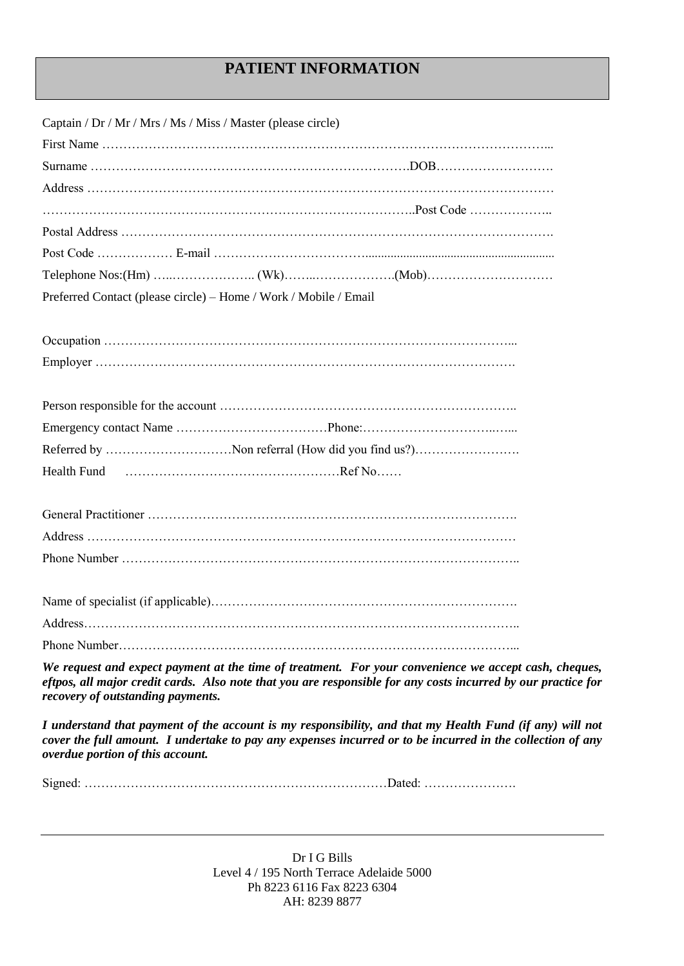## **PATIENT INFORMATION**

| Captain / Dr / Mr / Mrs / Ms / Miss / Master (please circle)                                                                                                                                                                                                |
|-------------------------------------------------------------------------------------------------------------------------------------------------------------------------------------------------------------------------------------------------------------|
|                                                                                                                                                                                                                                                             |
|                                                                                                                                                                                                                                                             |
|                                                                                                                                                                                                                                                             |
|                                                                                                                                                                                                                                                             |
|                                                                                                                                                                                                                                                             |
|                                                                                                                                                                                                                                                             |
|                                                                                                                                                                                                                                                             |
| Preferred Contact (please circle) – Home / Work / Mobile / Email                                                                                                                                                                                            |
|                                                                                                                                                                                                                                                             |
|                                                                                                                                                                                                                                                             |
|                                                                                                                                                                                                                                                             |
|                                                                                                                                                                                                                                                             |
|                                                                                                                                                                                                                                                             |
|                                                                                                                                                                                                                                                             |
| Referred by Non referral (How did you find us?)                                                                                                                                                                                                             |
| Health Fund                                                                                                                                                                                                                                                 |
|                                                                                                                                                                                                                                                             |
|                                                                                                                                                                                                                                                             |
|                                                                                                                                                                                                                                                             |
|                                                                                                                                                                                                                                                             |
|                                                                                                                                                                                                                                                             |
|                                                                                                                                                                                                                                                             |
|                                                                                                                                                                                                                                                             |
|                                                                                                                                                                                                                                                             |
| We request and expect payment at the time of treatment. For your convenience we accept cash, cheques,<br>eftpos, all major credit cards. Also note that you are responsible for any costs incurred by our practice for<br>recovery of outstanding payments. |

*I understand that payment of the account is my responsibility, and that my Health Fund (if any) will not cover the full amount. I undertake to pay any expenses incurred or to be incurred in the collection of any overdue portion of this account.*

Signed: ………………………………………………………………Dated: ………………….

Dr I G Bills Level 4 / 195 North Terrace Adelaide 5000 Ph 8223 6116 Fax 8223 6304 AH: 8239 8877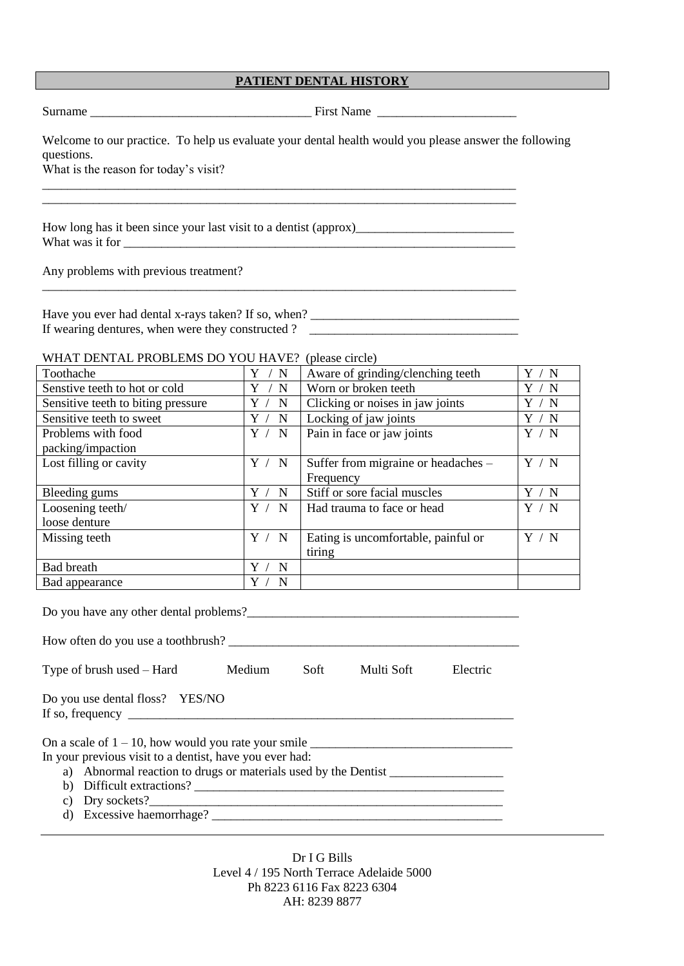Surname **Example 18 First Name** First Name **First Name** 

Welcome to our practice. To help us evaluate your dental health would you please answer the following questions.

What is the reason for today's visit?

How long has it been since your last visit to a dentist (approx)\_\_\_\_\_\_\_\_\_\_\_\_\_\_\_\_\_\_\_\_\_\_\_\_\_ What was it for  $\blacksquare$ 

Any problems with previous treatment?

| Have you ever had dental x-rays taken? If so, when? |  |
|-----------------------------------------------------|--|
| If wearing dentures, when were they constructed?    |  |

\_\_\_\_\_\_\_\_\_\_\_\_\_\_\_\_\_\_\_\_\_\_\_\_\_\_\_\_\_\_\_\_\_\_\_\_\_\_\_\_\_\_\_\_\_\_\_\_\_\_\_\_\_\_\_\_\_\_\_\_\_\_\_\_\_\_\_\_\_\_\_\_\_\_\_

\_\_\_\_\_\_\_\_\_\_\_\_\_\_\_\_\_\_\_\_\_\_\_\_\_\_\_\_\_\_\_\_\_\_\_\_\_\_\_\_\_\_\_\_\_\_\_\_\_\_\_\_\_\_\_\_\_\_\_\_\_\_\_\_\_\_\_\_\_\_\_\_\_\_\_ \_\_\_\_\_\_\_\_\_\_\_\_\_\_\_\_\_\_\_\_\_\_\_\_\_\_\_\_\_\_\_\_\_\_\_\_\_\_\_\_\_\_\_\_\_\_\_\_\_\_\_\_\_\_\_\_\_\_\_\_\_\_\_\_\_\_\_\_\_\_\_\_\_\_\_

## WHAT DENTAL PROBLEMS DO YOU HAVE? (please circle)

| Toothache                          | / N   | Aware of grinding/clenching teeth   | / N              |
|------------------------------------|-------|-------------------------------------|------------------|
| Senstive teeth to hot or cold      | N     | Worn or broken teeth                | Y<br>/ N         |
| Sensitive teeth to biting pressure | N     | Clicking or noises in jaw joints    | Y / N            |
| Sensitive teeth to sweet           | N     | Locking of jaw joints               | Y<br>$^\prime$ N |
| Problems with food                 | Y / N | Pain in face or jaw joints          | Y / N            |
| packing/impaction                  |       |                                     |                  |
| Lost filling or cavity             | Y / N | Suffer from migraine or headaches - | Y / N            |
|                                    |       | Frequency                           |                  |
| Bleeding gums                      | Y / N | Stiff or sore facial muscles        | Y / N            |
| Loosening teeth/                   | Y / N | Had trauma to face or head          | Y / N            |
| loose denture                      |       |                                     |                  |
| Missing teeth                      | Y / N | Eating is uncomfortable, painful or | Y<br>/ N         |
|                                    |       | tiring                              |                  |
| <b>Bad breath</b>                  | N     |                                     |                  |
| Bad appearance                     | N     |                                     |                  |

Do you have any other dental problems?\_\_\_\_\_\_\_\_\_\_\_\_\_\_\_\_\_\_\_\_\_\_\_\_\_\_\_\_\_\_\_\_\_\_\_\_\_\_\_\_\_\_\_

How often do you use a toothbrush? \_\_\_\_\_\_\_\_\_\_\_\_\_\_\_\_\_\_\_\_\_\_\_\_\_\_\_\_\_\_\_\_\_\_\_\_\_\_\_\_\_\_\_\_\_\_

| Type of brush used – Hard | Medium | Soft | Multi Soft | Electric |
|---------------------------|--------|------|------------|----------|

| Do you use dental floss? YES/NO |  |
|---------------------------------|--|
| If so, frequency                |  |

On a scale of 1 – 10, how would you rate your smile \_\_\_\_\_\_\_\_\_\_\_\_\_\_\_\_\_\_\_\_\_\_\_\_\_\_\_\_\_\_\_\_

In your previous visit to a dentist, have you ever had:

- a) Abnormal reaction to drugs or materials used by the Dentist \_\_\_\_\_\_\_\_\_\_\_\_\_\_\_\_\_\_
- b) Difficult extractions? \_\_\_\_\_\_\_\_\_\_\_\_\_\_\_\_\_\_\_\_\_\_\_\_\_\_\_\_\_\_\_\_\_\_\_\_\_\_\_\_\_\_\_\_\_\_\_\_\_
- c) Dry sockets?\_\_\_\_\_\_\_\_\_\_\_\_\_\_\_\_\_\_\_\_\_\_\_\_\_\_\_\_\_\_\_\_\_\_\_\_\_\_\_\_\_\_\_\_\_\_\_\_\_\_\_\_\_\_\_\_
- d) Excessive haemorrhage? \_\_\_\_\_\_\_\_\_\_\_\_\_\_\_\_\_\_\_\_\_\_\_\_\_\_\_\_\_\_\_\_\_\_\_\_\_\_\_\_\_\_\_\_\_\_

| Dr I G Bills                              |
|-------------------------------------------|
| Level 4 / 195 North Terrace Adelaide 5000 |
| Ph 8223 6116 Fax 8223 6304                |
| AH: 8239 8877                             |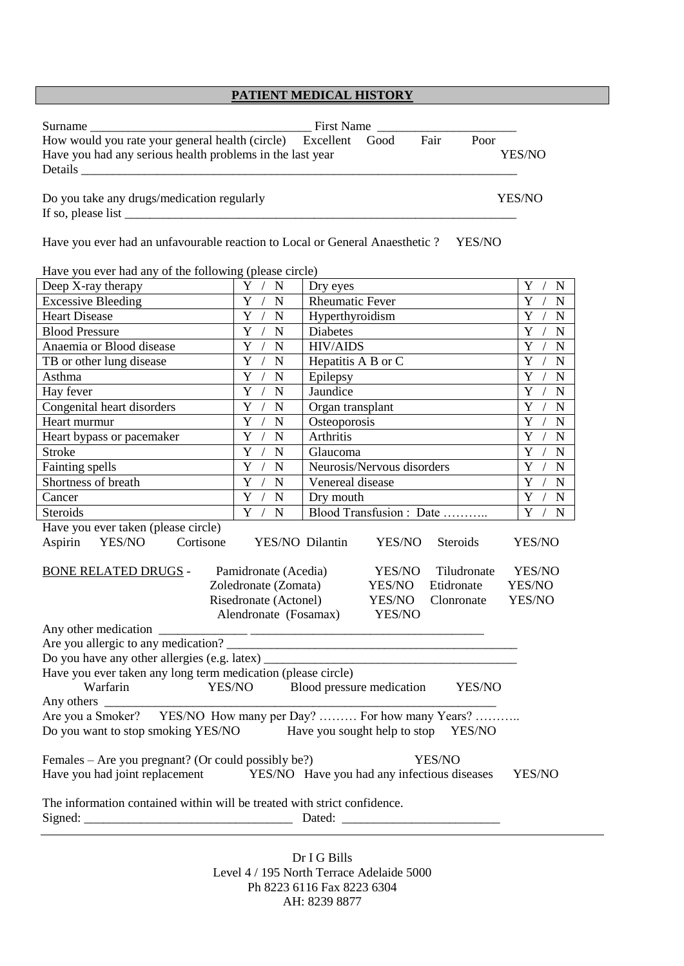## **PATIENT MEDICAL HISTORY**

| Surname<br>First Name                                                                     |           |      |      |        |
|-------------------------------------------------------------------------------------------|-----------|------|------|--------|
| How would you rate your general health (circle)                                           | Excellent | Good | Fair | Poor   |
| Have you had any serious health problems in the last year                                 |           |      |      | YES/NO |
| Details                                                                                   |           |      |      |        |
| Do you take any drugs/medication regularly<br>If so, please list $\overline{\phantom{a}}$ |           |      |      | YES/NO |

Have you ever had an unfavourable reaction to Local or General Anaesthetic ? YES/NO

| Have you ever had any of the following (please circle)                                                                                      |                                             |                                            |                                             |  |
|---------------------------------------------------------------------------------------------------------------------------------------------|---------------------------------------------|--------------------------------------------|---------------------------------------------|--|
| Deep X-ray therapy                                                                                                                          | Y /<br>$\mathbf N$                          | Dry eyes                                   | Y<br>N                                      |  |
| <b>Excessive Bleeding</b>                                                                                                                   | $\overline{Y}$ /<br>$\mathbf N$             | Rheumatic Fever                            | $\overline{Y}$<br>$\sqrt{2}$<br>N           |  |
| <b>Heart Disease</b>                                                                                                                        | $\overline{Y}$<br>$\mathbf N$<br>$\sqrt{ }$ | Hyperthyroidism                            | $\overline{Y}$<br>$\sqrt{2}$<br>N           |  |
| <b>Blood Pressure</b>                                                                                                                       | $\overline{Y}$ /<br>$\mathbf N$             | <b>Diabetes</b>                            | $\overline{Y}$<br>$\sqrt{2}$<br>N           |  |
| Anaemia or Blood disease                                                                                                                    | $\overline{Y}$<br>$\mathbf N$<br>$\sqrt{2}$ | <b>HIV/AIDS</b>                            | $\overline{Y}$<br>N                         |  |
| TB or other lung disease                                                                                                                    | $\overline{Y}$<br>$\sqrt{ }$<br>${\bf N}$   | Hepatitis A B or C                         | $\overline{Y}$<br>$\sqrt{2}$<br>N           |  |
| Asthma                                                                                                                                      | $\overline{Y}$<br>${\bf N}$<br>$\sqrt{2}$   | Epilepsy                                   | $\overline{Y}$<br>N<br>$\overline{1}$       |  |
| Hay fever                                                                                                                                   | $\overline{Y}$<br>${\bf N}$<br>$\sqrt{2}$   | Jaundice                                   | $\overline{Y}$<br>$\mathbf N$               |  |
| Congenital heart disorders                                                                                                                  | $\mathbf Y$<br>$\sqrt{ }$<br>${\bf N}$      | Organ transplant                           | Y<br>N                                      |  |
| Heart murmur                                                                                                                                | $\overline{Y}$<br>${\bf N}$<br>$\sqrt{2}$   | Osteoporosis                               | $\overline{Y}$<br>N                         |  |
| Heart bypass or pacemaker                                                                                                                   | $\overline{Y}$<br>${\bf N}$                 | Arthritis                                  | $\overline{Y}$<br>N                         |  |
| <b>Stroke</b>                                                                                                                               | $\overline{Y}$<br>${\bf N}$                 | Glaucoma                                   | $\overline{Y}$<br>$\mathbf N$               |  |
| Fainting spells                                                                                                                             | $\overline{Y}$<br>$\mathbf N$               | Neurosis/Nervous disorders                 | $\overline{Y}$<br>$\mathbf N$<br>$\sqrt{ }$ |  |
| Shortness of breath                                                                                                                         | $\overline{Y}$<br>$\overline{N}$            | Venereal disease                           | $\overline{Y}$<br>$\mathbf N$               |  |
| Cancer                                                                                                                                      | $\overline{Y}$<br>${\bf N}$                 | Dry mouth                                  | $\overline{Y}$<br>$\mathbf N$               |  |
| <b>Steroids</b>                                                                                                                             | $\overline{Y}$<br>$\overline{N}$            | Blood Transfusion : Date                   | $\overline{Y}$<br>N                         |  |
| Have you ever taken (please circle)<br>YES/NO<br>Aspirin<br>Cortisone<br>YES/NO Dilantin<br>YES/NO<br>YES/NO<br>Steroids                    |                                             |                                            |                                             |  |
| <b>BONE RELATED DRUGS -</b><br>Pamidronate (Acedia)<br>YES/NO<br>Tiludronate<br>YES/NO                                                      |                                             |                                            |                                             |  |
|                                                                                                                                             | Zoledronate (Zomata)                        | Etidronate<br>YES/NO                       | YES/NO                                      |  |
|                                                                                                                                             | Risedronate (Actonel)                       | YES/NO<br>Clonronate                       | YES/NO                                      |  |
|                                                                                                                                             | Alendronate (Fosamax)                       | YES/NO                                     |                                             |  |
|                                                                                                                                             |                                             |                                            |                                             |  |
|                                                                                                                                             |                                             |                                            |                                             |  |
| Do you have any other allergies (e.g. latex) ___________________________________                                                            |                                             |                                            |                                             |  |
| Have you ever taken any long term medication (please circle)                                                                                |                                             |                                            |                                             |  |
| Warfarin                                                                                                                                    |                                             | YES/NO Blood pressure medication<br>YES/NO |                                             |  |
| Any others $\frac{1}{\sqrt{1-\frac{1}{2}}\cdot\frac{1}{\sqrt{1-\frac{1}{2}}}}$                                                              |                                             |                                            |                                             |  |
| Are you a Smoker? YES/NO How many per Day?  For how many Years?                                                                             |                                             |                                            |                                             |  |
| Do you want to stop smoking YES/NO Have you sought help to stop YES/NO                                                                      |                                             |                                            |                                             |  |
| YES/NO                                                                                                                                      |                                             |                                            |                                             |  |
| Females – Are you pregnant? (Or could possibly be?)<br>Have you had joint replacement YES/NO Have you had any infectious diseases<br>YES/NO |                                             |                                            |                                             |  |
|                                                                                                                                             |                                             |                                            |                                             |  |
| The information contained within will be treated with strict confidence.                                                                    |                                             |                                            |                                             |  |
|                                                                                                                                             |                                             |                                            |                                             |  |
|                                                                                                                                             |                                             |                                            |                                             |  |

Dr I G Bills Level 4 / 195 North Terrace Adelaide 5000 Ph 8223 6116 Fax 8223 6304 AH: 8239 8877